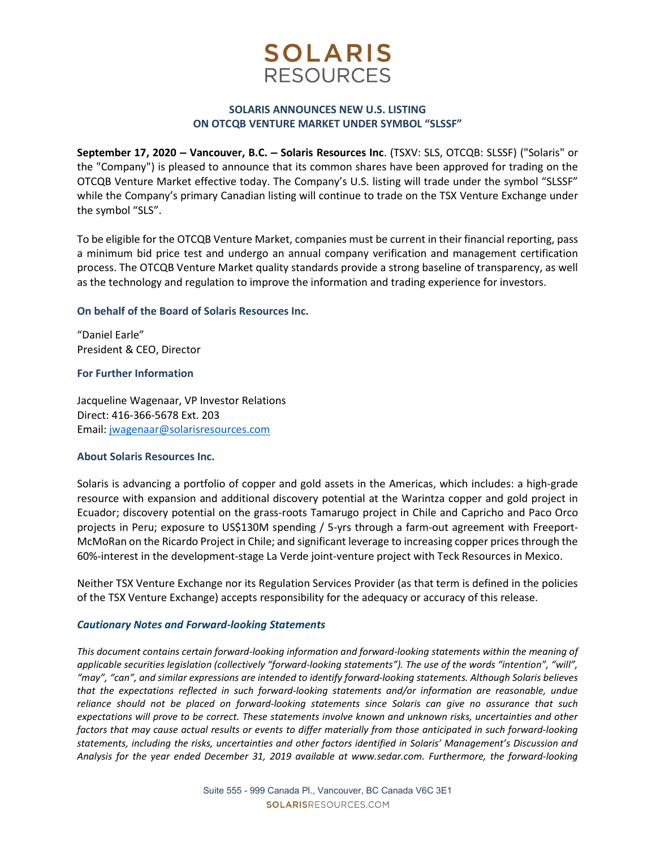# **SOLARIS RESOURCES**

## SOLARIS ANNOUNCES NEW U.S. LISTING ON OTCQB VENTURE MARKET UNDER SYMBOL "SLSSF"

September 17, 2020 – Vancouver, B.C. – Solaris Resources Inc. (TSXV: SLS, OTCQB: SLSSF) ("Solaris" or the "Company") is pleased to announce that its common shares have been approved for trading on the OTCQB Venture Market effective today. The Company's U.S. listing will trade under the symbol "SLSSF" while the Company's primary Canadian listing will continue to trade on the TSX Venture Exchange under the symbol "SLS".

To be eligible for the OTCQB Venture Market, companies must be current in their financial reporting, pass a minimum bid price test and undergo an annual company verification and management certification process. The OTCQB Venture Market quality standards provide a strong baseline of transparency, as well as the technology and regulation to improve the information and trading experience for investors.

### On behalf of the Board of Solaris Resources Inc.

"Daniel Earle" President & CEO, Director

### For Further Information

Jacqueline Wagenaar, VP Investor Relations Direct: 416-366-5678 Ext. 203 Email: jwagenaar@solarisresources.com

## About Solaris Resources Inc.

Solaris is advancing a portfolio of copper and gold assets in the Americas, which includes: a high-grade resource with expansion and additional discovery potential at the Warintza copper and gold project in Ecuador; discovery potential on the grass-roots Tamarugo project in Chile and Capricho and Paco Orco projects in Peru; exposure to US\$130M spending / 5-yrs through a farm-out agreement with Freeport-McMoRan on the Ricardo Project in Chile; and significant leverage to increasing copper prices through the 60%-interest in the development-stage La Verde joint-venture project with Teck Resources in Mexico.

Neither TSX Venture Exchange nor its Regulation Services Provider (as that term is defined in the policies of the TSX Venture Exchange) accepts responsibility for the adequacy or accuracy of this release.

#### Cautionary Notes and Forward-looking Statements

This document contains certain forward-looking information and forward-looking statements within the meaning of applicable securities legislation (collectively "forward-looking statements"). The use of the words "intention", "will", "may", "can", and similar expressions are intended to identify forward-looking statements. Although Solaris believes that the expectations reflected in such forward-looking statements and/or information are reasonable, undue reliance should not be placed on forward-looking statements since Solaris can give no assurance that such expectations will prove to be correct. These statements involve known and unknown risks, uncertainties and other factors that may cause actual results or events to differ materially from those anticipated in such forward-looking statements, including the risks, uncertainties and other factors identified in Solaris' Management's Discussion and Analysis for the year ended December 31, 2019 available at www.sedar.com. Furthermore, the forward-looking